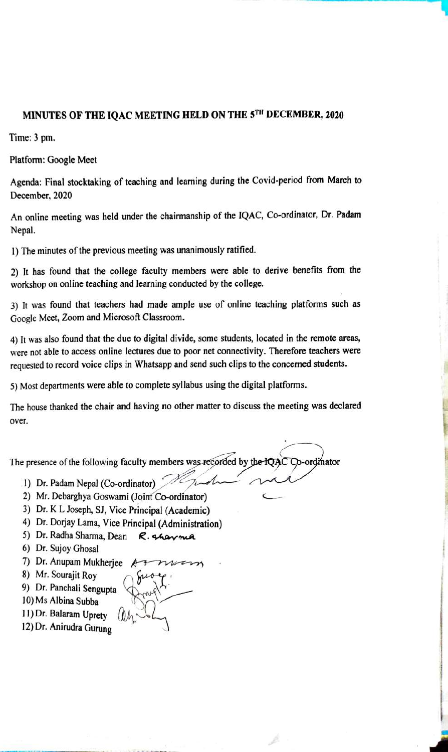### MINUTES OF THE IQAC MEETING HELD ON THE STH DECEMBER, 2020

Time: 3 pm.

Platform: Google Meet

Agenda: Final stocktaking of teaching and learning during the Covid-period from March to December, 2020

An online meeting was held under the chairmanship of the 1QAC, Co-ordinator, Dr. Padam Nepal.

1) The minutes of the previous meeting was unanimously ratified

2) It has found that the college faculty members were able to derive benefits from the workshop on online teaching and learning conducted by the college.

3) It was found that teachers had made ample use of online teaching platforms such as Google Meet, Zoom and Microsoft Classroom.

4) It was also found that the due to digital divide, some students, located in the remote areas, were not able to access online lectures due to poor net connectivity. Therefore teachers were requested to record voice clips in Whatsapp and send such clips to the concerned students.

5) Most departments were able to complete syllabus using the digital platforms.

The house thanked the chair and having no other matter to discuss the meeting was declared over.

The presence of the following faculty members was recorded by the IQAC Co-ordinator

- 1) Dr. Padam Nepal (Co-ordinator)
- 2) Mr. Debarghya Goswami (Joint Co-ordinator)
- 3) Dr. KL Joseph, SJ, Vice Principal (Academic)
- 4) Dr. Dorjay Lama, Vice Principal (Administration)
- 5) Dr. Radha Sharma, Dean R. sharma
- 6) Dr. Sujoy Ghosal
- 7) Dr. Anupam Mukherjee  $\land$
- 8) Mr. Sourajit Roy
- 9) Dr. Panchali Sengupta
- 10) Ms Albina Subba
- 11) Dr. Balaram Uprety
- 12) Dr. Anirudra Gurung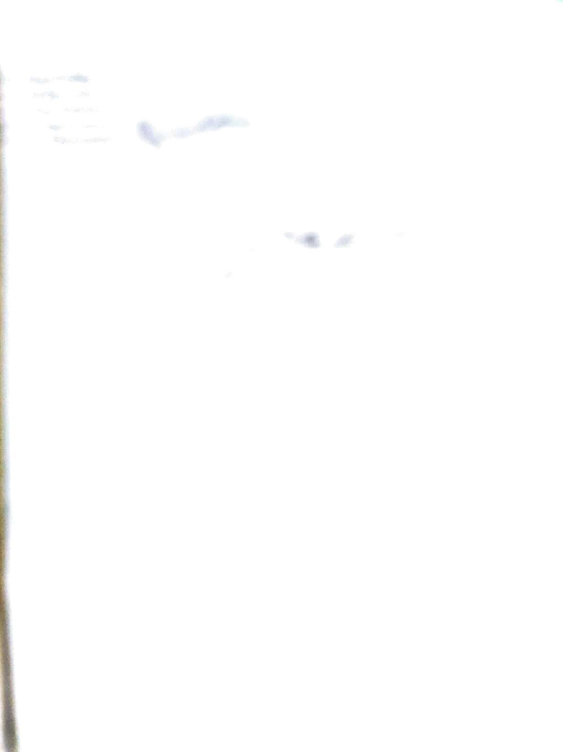Support to the control of



 $\label{eq:4} \mathcal{L}_{\mathcal{A}}=\mathcal{L}_{\mathcal{A}}\mathcal{L}_{\mathcal{A}}\mathcal{L}_{\mathcal{A}}\mathcal{L}_{\mathcal{A}}\mathcal{L}_{\mathcal{A}}\mathcal{L}_{\mathcal{A}}\mathcal{L}_{\mathcal{A}}\mathcal{L}_{\mathcal{A}}\mathcal{L}_{\mathcal{A}}\mathcal{L}_{\mathcal{A}}\mathcal{L}_{\mathcal{A}}\mathcal{L}_{\mathcal{A}}\mathcal{L}_{\mathcal{A}}\mathcal{L}_{\mathcal{A}}\mathcal{L}_{\mathcal{A}}\mathcal{L}_{\mathcal{A}}\mathcal{L}_{\mathcal$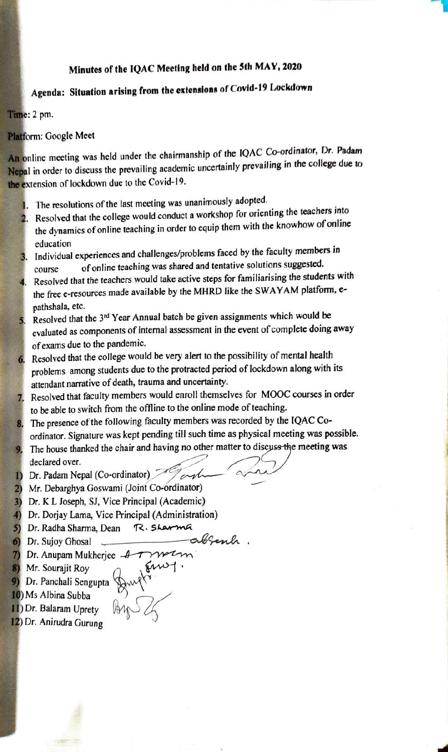### Minutes of the IQAC Meeting held on the 5th MAY, 2020

# Agenda: Situation arising from the extensions of Covid-19 Lockdown

Time: 2 pm.

Platform: Google Meet

An online meeting was held under the chairmanship of the IQAC Co-ordinator, Dr. Padam Nepal in order to discuss the prevailing academic uncertainly prevailing in the college due to the extension of lockdown due to the Covid-19.

- The resolutions of the last meeting was unanimously adopted.
- Resolved that the college would conduct a workshop for orienting the teachers into  $\overline{2}$ . the dynamics of online teaching in order to equip them with the knowhow of online education
- Individual experiences and challenges/problems faced by the faculty members in course of online teaching was shared and tentative solutions suggested.
- Resolved that the teachers would take active steps for familiarising the students with the free e-resources made available by the MHRD like the SWAYAM platform, epathshala, etc.
- 5. Resolved that the  $3^{rd}$  Year Annual batch be given assignments which would be evaluated as components of internal assessment in the event of complete doing away
- of exams due to the pandemic.<br>6. Resolved that the college would Resolved that the college would be very alert to the possibility of mental health problems among students due to the protracted period of lockdown along with its attendant narrative of death, trauma and uncertainty.
- 7. Resolved that faculty members would enroll themselves for MOOC courses in order to be able to switch from the offline to the online mode of teaching.
- 8. The presence of the following faculty members was recorded by the IQAC Coordinator. Signature was kept pending till such time as physical meeting was possible. The house thanked the chair and having no other matter to discuss the meeting was declared over.

ond

Dr. Padam Nepal (Co-ordinator) D

- Mr. Debarghya Goswami (Joint Co-ordinator) 2)
- Dr. K L Joseph, SJ, Vice Principal (Academic)
- 4) Dr. Dorjay Lama, Vice Principal (Administration)
- 5) Dr. Radha Sharma, Dean R.Sharma

6) Dr. Sujoy Ghosal

- 6) Dr. Sujoy Ghosal<br>
7) Dr. Anupam Mukherjee -ATwarm<br>
8) Mr. Sourajit Roy<br>  $(6.40)$
- Mr. Sourajit Roy
- 9) Dr. Panchali Sengupta
- 10) Ms Albina Subba
- 11) Dr. Balaram Uprety
- 12) Dr. Anirudra Gurung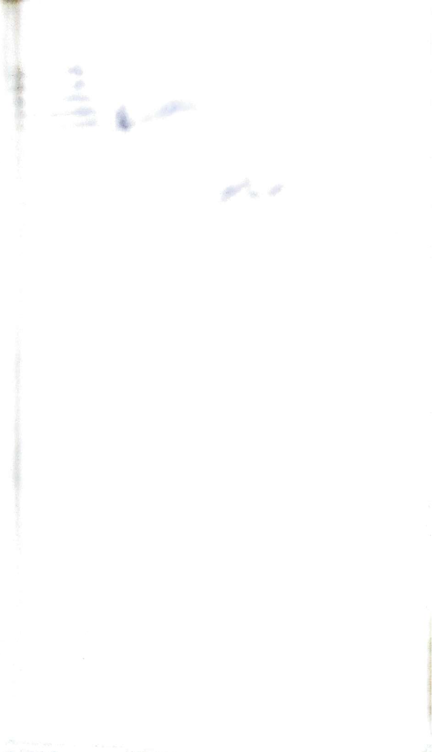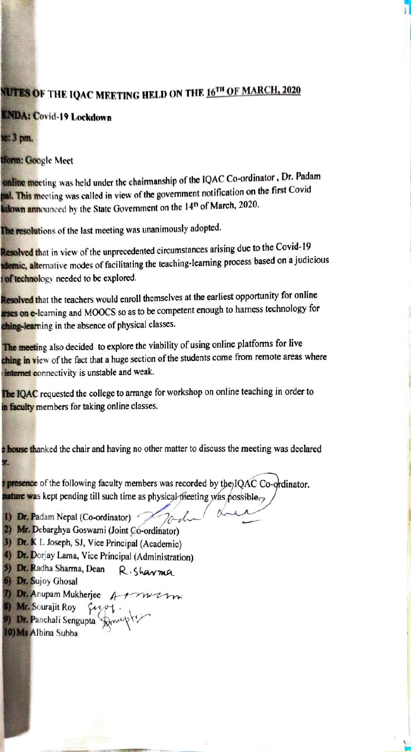## NUTES OF THE IQAC MEETING HELD ON THE 16<sup>TH</sup> OF MARCH, 2020

#### ENDA: Covid-19 Lockdown

e: 3 pm.

tform: Google Meet

online mecting was held under the chaimanship of the 1QAC Co-ordinator, Dr. Padam pal. This meeting was called in view of the government notification on the first Covid kdown announced by the State Government on the 14<sup>th</sup> of March, 2020.

The resolutions of the last meeting was unanimously adopted.

Resolved that in view of the unprecedented circumstances arising due to the Covid-19 **idemic, alternative modes of facilitating the teaching-learning process based on a judicious** of technology needed to be explored.

Resolved that the teachers would enroll themselves at the earliest opportunity for online **irses on e-learning and MOOCS** so as to be competent enough to harness technology for ching-learning in the absence of physical classes.

The meeting also decided to explore the viability of using online platforms for live ching in view of the fact that a huge section of the students come from remote areas where internet connectivity is unstable and weak.

The IQAC requested the college to arrange for workshop on online teaching in order to in faculty members for taking online classes.

**e house thanked the chair and having no other matter to discuss the meeting was declared** Ŧ.

**presence** of the following faculty members was recorded by the<sub>j</sub>IQAC Co-ordinator. nature was kept pending till such time as physical meeting was possible.

- 1) Dr. Padam Nepal (Co-ordinator)
- 2) Mr. Debarghya Goswami (Joint Co-ordinator)
- 3) Dr. KL Joseph, SJ, Vice Principal (Academic)
- 4) Dr. Dorjay Lama, Vice Principal (Administration)
- 5) Dr. Radha Sharma, Dean R Shawma
- **6) Dr. Sujoy Ghosal**
- 7) Dr. Anupam Mukherjec  $A$ 1 W  $\sim$
- 8) Mr. Sourajit Roy
- **Dr. Panchali Sengupta** Ran
- 10) Ms Albina Subba